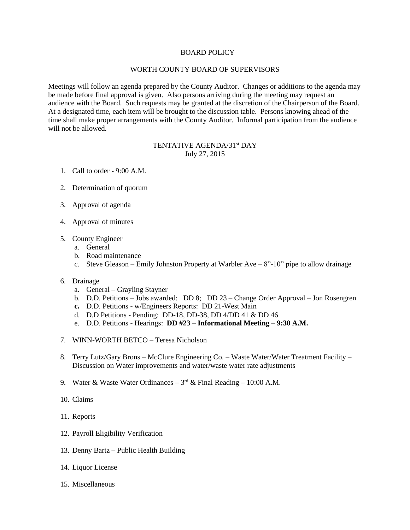## BOARD POLICY

## WORTH COUNTY BOARD OF SUPERVISORS

Meetings will follow an agenda prepared by the County Auditor. Changes or additions to the agenda may be made before final approval is given. Also persons arriving during the meeting may request an audience with the Board. Such requests may be granted at the discretion of the Chairperson of the Board. At a designated time, each item will be brought to the discussion table. Persons knowing ahead of the time shall make proper arrangements with the County Auditor. Informal participation from the audience will not be allowed.

## TENTATIVE AGENDA/31<sup>st</sup> DAY July 27, 2015

- 1. Call to order 9:00 A.M.
- 2. Determination of quorum
- 3. Approval of agenda
- 4. Approval of minutes
- 5. County Engineer
	- a. General
	- b. Road maintenance
	- c. Steve Gleason Emily Johnston Property at Warbler Ave 8"-10" pipe to allow drainage

## 6. Drainage

- a. General Grayling Stayner
- b. D.D. Petitions Jobs awarded: DD 8; DD 23 Change Order Approval Jon Rosengren
- **c.** D.D. Petitions w/Engineers Reports: DD 21-West Main
- d. D.D Petitions Pending: DD-18, DD-38, DD 4/DD 41 & DD 46
- e. D.D. Petitions Hearings: **DD #23 – Informational Meeting – 9:30 A.M.**
- 7. WINN-WORTH BETCO Teresa Nicholson
- 8. Terry Lutz/Gary Brons McClure Engineering Co. Waste Water/Water Treatment Facility Discussion on Water improvements and water/waste water rate adjustments
- 9. Water & Waste Water Ordinances  $-3^{rd}$  & Final Reading  $-10:00$  A.M.
- 10. Claims
- 11. Reports
- 12. Payroll Eligibility Verification
- 13. Denny Bartz Public Health Building
- 14. Liquor License
- 15. Miscellaneous